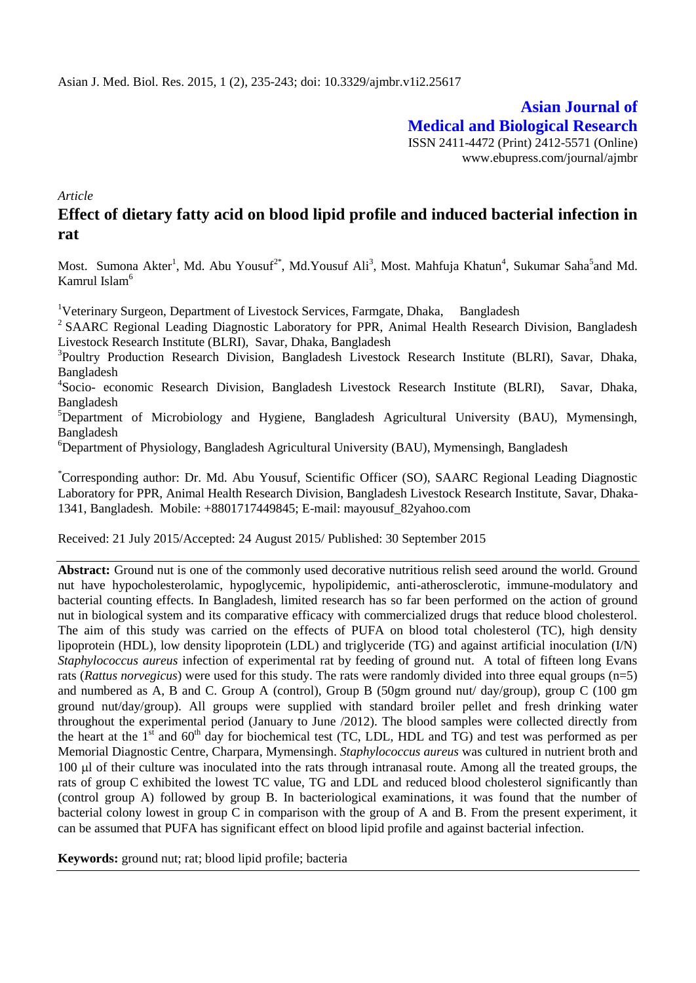**Asian Journal of Medical and Biological Research** ISSN 2411-4472 (Print) 2412-5571 (Online) www.ebupress.com/journal/ajmbr

*Article*

# **Effect of dietary fatty acid on blood lipid profile and induced bacterial infection in rat**

Most. Sumona Akter<sup>1</sup>, Md. Abu Yousuf<sup>2\*</sup>, Md.Yousuf Ali<sup>3</sup>, Most. Mahfuja Khatun<sup>4</sup>, Sukumar Saha<sup>5</sup>and Md. Kamrul Islam<sup>6</sup>

<sup>1</sup>Veterinary Surgeon, Department of Livestock Services, Farmgate, Dhaka, Bangladesh

<sup>2</sup> SAARC Regional Leading Diagnostic Laboratory for PPR, Animal Health Research Division, Bangladesh Livestock Research Institute (BLRI), Savar, Dhaka, Bangladesh

<sup>3</sup>Poultry Production Research Division, Bangladesh Livestock Research Institute (BLRI), Savar, Dhaka, Bangladesh

<sup>4</sup>Socio- economic Research Division, Bangladesh Livestock Research Institute (BLRI), Savar, Dhaka, Bangladesh

<sup>5</sup>Department of Microbiology and Hygiene, Bangladesh Agricultural University (BAU), Mymensingh, Bangladesh

<sup>6</sup>Department of Physiology, Bangladesh Agricultural University (BAU), Mymensingh, Bangladesh

\*Corresponding author: Dr. Md. Abu Yousuf, Scientific Officer (SO), SAARC Regional Leading Diagnostic Laboratory for PPR, Animal Health Research Division, Bangladesh Livestock Research Institute, Savar, Dhaka-1341, Bangladesh. Mobile: +8801717449845; E-mail: [mayousuf\\_82yahoo.com](mailto:mrislam210@hotmail.com)

Received: 21 July 2015/Accepted: 24 August 2015/ Published: 30 September 2015

**Abstract:** Ground nut is one of the commonly used decorative nutritious relish seed around the world. Ground nut have hypocholesterolamic, hypoglycemic, hypolipidemic, anti-atherosclerotic, immune-modulatory and bacterial counting effects. In Bangladesh, limited research has so far been performed on the action of ground nut in biological system and its comparative efficacy with commercialized drugs that reduce blood cholesterol. The aim of this study was carried on the effects of PUFA on blood total cholesterol (TC), high density lipoprotein (HDL), low density lipoprotein (LDL) and triglyceride (TG) and against artificial inoculation (I/N) *Staphylococcus aureus* infection of experimental rat by feeding of ground nut. A total of fifteen long Evans rats (*Rattus norvegicus*) were used for this study. The rats were randomly divided into three equal groups (n=5) and numbered as A, B and C. Group A (control), Group B (50gm ground nut/ day/group), group C (100 gm ground nut/day/group). All groups were supplied with standard broiler pellet and fresh drinking water throughout the experimental period (January to June /2012). The blood samples were collected directly from the heart at the  $1<sup>st</sup>$  and  $60<sup>th</sup>$  day for biochemical test (TC, LDL, HDL and TG) and test was performed as per Memorial Diagnostic Centre, Charpara, Mymensingh. *Staphylococcus aureus* was cultured in nutrient broth and 100 µ of their culture was inoculated into the rats through intranasal route. Among all the treated groups, the rats of group C exhibited the lowest TC value, TG and LDL and reduced blood cholesterol significantly than (control group A) followed by group B. In bacteriological examinations, it was found that the number of bacterial colony lowest in group C in comparison with the group of A and B. From the present experiment, it can be assumed that PUFA has significant effect on blood lipid profile and against bacterial infection.

**Keywords:** ground nut; rat; blood lipid profile; bacteria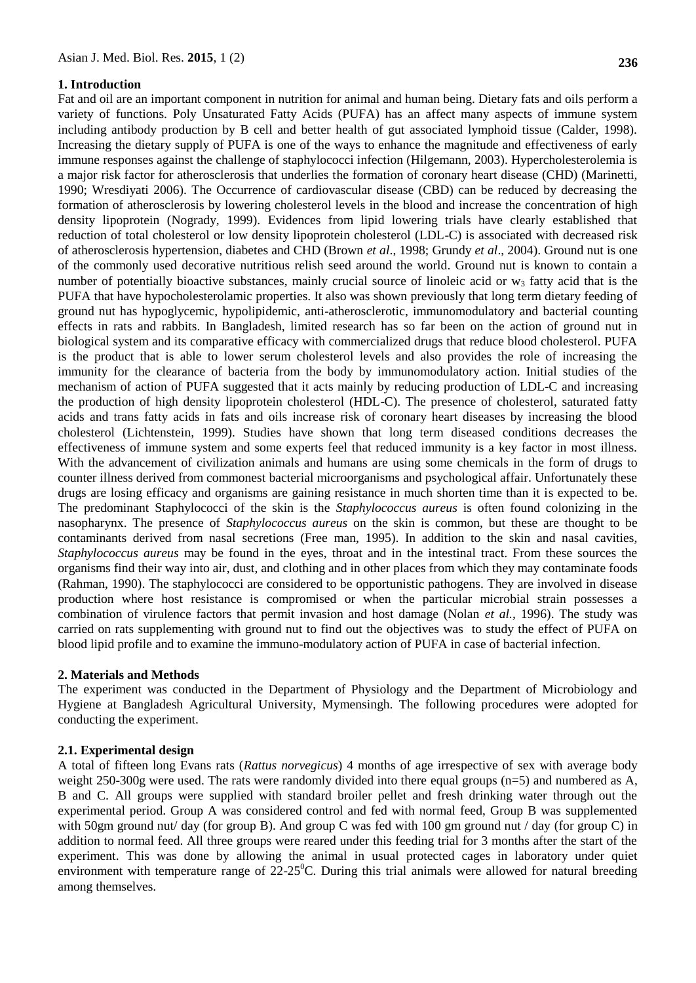#### **1. Introduction**

Fat and oil are an important component in nutrition for animal and human being. Dietary fats and oils perform a variety of functions. Poly Unsaturated Fatty Acids (PUFA) has an affect many aspects of immune system including antibody production by B cell and better health of gut associated lymphoid tissue (Calder, 1998). Increasing the dietary supply of PUFA is one of the ways to enhance the magnitude and effectiveness of early immune responses against the challenge of staphylococci infection (Hilgemann, 2003). Hypercholesterolemia is a major risk factor for atherosclerosis that underlies the formation of coronary heart disease (CHD) (Marinetti, 1990; Wresdiyati 2006). The Occurrence of cardiovascular disease (CBD) can be reduced by decreasing the formation of atherosclerosis by lowering cholesterol levels in the blood and increase the concentration of high density lipoprotein (Nogrady, 1999). Evidences from lipid lowering trials have clearly established that reduction of total cholesterol or low density lipoprotein cholesterol (LDL-C) is associated with decreased risk of atherosclerosis hypertension, diabetes and CHD (Brown *et al*., 1998; Grundy *et al*., 2004). Ground nut is one of the commonly used decorative nutritious relish seed around the world. Ground nut is known to contain a number of potentially bioactive substances, mainly crucial source of linoleic acid or  $w<sub>3</sub>$  fatty acid that is the PUFA that have hypocholesterolamic properties. It also was shown previously that long term dietary feeding of ground nut has hypoglycemic, hypolipidemic, anti-atherosclerotic, immunomodulatory and bacterial counting effects in rats and rabbits. In Bangladesh, limited research has so far been on the action of ground nut in biological system and its comparative efficacy with commercialized drugs that reduce blood cholesterol. PUFA is the product that is able to lower serum cholesterol levels and also provides the role of increasing the immunity for the clearance of bacteria from the body by immunomodulatory action. Initial studies of the mechanism of action of PUFA suggested that it acts mainly by reducing production of LDL-C and increasing the production of high density lipoprotein cholesterol (HDL-C). The presence of cholesterol, saturated fatty acids and trans fatty acids in fats and oils increase risk of coronary heart diseases by increasing the blood cholesterol (Lichtenstein, 1999). Studies have shown that long term diseased conditions decreases the effectiveness of immune system and some experts feel that reduced immunity is a key factor in most illness. With the advancement of civilization animals and humans are using some chemicals in the form of drugs to counter illness derived from commonest bacterial microorganisms and psychological affair. Unfortunately these drugs are losing efficacy and organisms are gaining resistance in much shorten time than it is expected to be. The predominant Staphylococci of the skin is the *Staphylococcus aureus* is often found colonizing in the nasopharynx. The presence of *Staphylococcus aureus* on the skin is common, but these are thought to be contaminants derived from nasal secretions (Free man, 1995). In addition to the skin and nasal cavities, *Staphylococcus aureus* may be found in the eyes, throat and in the intestinal tract. From these sources the organisms find their way into air, dust, and clothing and in other places from which they may contaminate foods (Rahman, 1990). The staphylococci are considered to be opportunistic pathogens. They are involved in disease production where host resistance is compromised or when the particular microbial strain possesses a combination of virulence factors that permit invasion and host damage (Nolan *et al.,* 1996). The study was carried on rats supplementing with ground nut to find out the objectives was to study the effect of PUFA on blood lipid profile and to examine the immuno-modulatory action of PUFA in case of bacterial infection.

#### **2. Materials and Methods**

The experiment was conducted in the Department of Physiology and the Department of Microbiology and Hygiene at Bangladesh Agricultural University, Mymensingh. The following procedures were adopted for conducting the experiment.

#### **2.1. Experimental design**

A total of fifteen long Evans rats (*Rattus norvegicus*) 4 months of age irrespective of sex with average body weight 250-300g were used. The rats were randomly divided into there equal groups (n=5) and numbered as A, B and C. All groups were supplied with standard broiler pellet and fresh drinking water through out the experimental period. Group A was considered control and fed with normal feed, Group B was supplemented with 50gm ground nut/ day (for group B). And group C was fed with 100 gm ground nut / day (for group C) in addition to normal feed. All three groups were reared under this feeding trial for 3 months after the start of the experiment. This was done by allowing the animal in usual protected cages in laboratory under quiet environment with temperature range of  $22{\text -}25^{\circ}$ C. During this trial animals were allowed for natural breeding among themselves.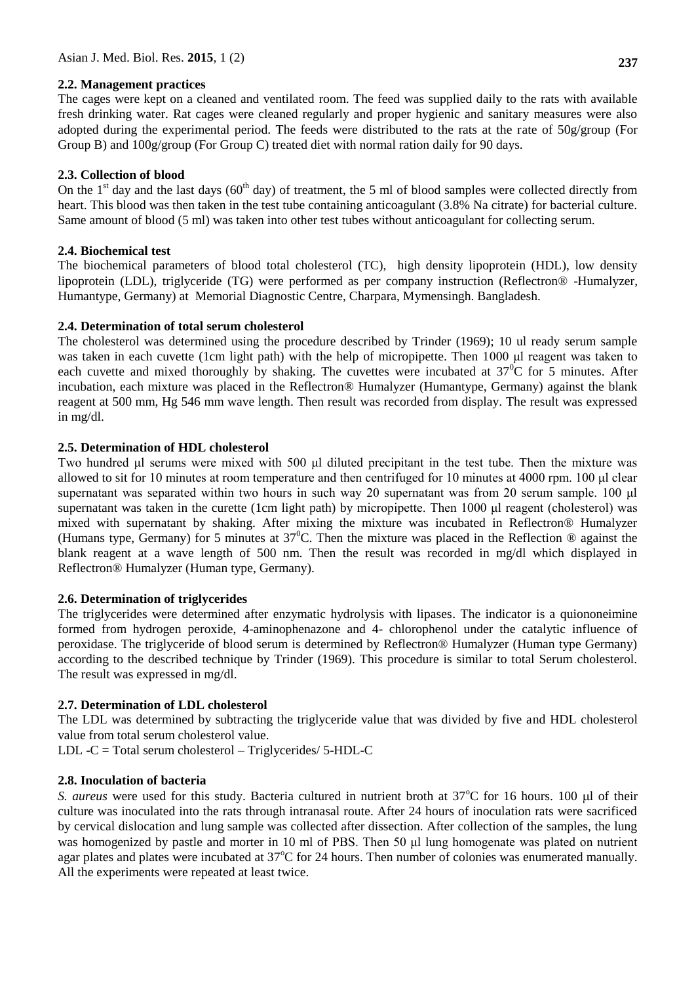# **2.2. Management practices**

The cages were kept on a cleaned and ventilated room. The feed was supplied daily to the rats with available fresh drinking water. Rat cages were cleaned regularly and proper hygienic and sanitary measures were also adopted during the experimental period. The feeds were distributed to the rats at the rate of 50g/group (For Group B) and 100g/group (For Group C) treated diet with normal ration daily for 90 days.

# **2.3. Collection of blood**

On the 1<sup>st</sup> day and the last days ( $60<sup>th</sup>$  day) of treatment, the 5 ml of blood samples were collected directly from heart. This blood was then taken in the test tube containing anticoagulant (3.8% Na citrate) for bacterial culture. Same amount of blood (5 ml) was taken into other test tubes without anticoagulant for collecting serum.

# **2.4. Biochemical test**

The biochemical parameters of blood total cholesterol (TC), high density lipoprotein (HDL), low density lipoprotein (LDL), triglyceride (TG) were performed as per company instruction (Reflectron® -Humalyzer, Humantype, Germany) at Memorial Diagnostic Centre, Charpara, Mymensingh. Bangladesh.

# **2.4. Determination of total serum cholesterol**

The cholesterol was determined using the procedure described by Trinder (1969); 10 ul ready serum sample was taken in each cuvette (1cm light path) with the help of micropipette. Then 1000 μl reagent was taken to each cuvette and mixed thoroughly by shaking. The cuvettes were incubated at  $37^{\circ}$ C for 5 minutes. After incubation, each mixture was placed in the Reflectron® Humalyzer (Humantype, Germany) against the blank reagent at 500 mm, Hg 546 mm wave length. Then result was recorded from display. The result was expressed in mg/dl.

# **2.5. Determination of HDL cholesterol**

Two hundred μl serums were mixed with 500 μl diluted precipitant in the test tube. Then the mixture was allowed to sit for 10 minutes at room temperature and then centrifuged for 10 minutes at 4000 rpm. 100 μl clear supernatant was separated within two hours in such way 20 supernatant was from 20 serum sample. 100 μl supernatant was taken in the curette (1cm light path) by micropipette. Then 1000 μl reagent (cholesterol) was mixed with supernatant by shaking. After mixing the mixture was incubated in Reflectron® Humalyzer (Humans type, Germany) for 5 minutes at  $37^{\circ}$ C. Then the mixture was placed in the Reflection ® against the blank reagent at a wave length of 500 nm. Then the result was recorded in mg/dl which displayed in Reflectron® Humalyzer (Human type, Germany).

### **2.6. Determination of triglycerides**

The triglycerides were determined after enzymatic hydrolysis with lipases. The indicator is a quiononeimine formed from hydrogen peroxide, 4-aminophenazone and 4- chlorophenol under the catalytic influence of peroxidase. The triglyceride of blood serum is determined by Reflectron® Humalyzer (Human type Germany) according to the described technique by Trinder (1969). This procedure is similar to total Serum cholesterol. The result was expressed in mg/dl.

# **2.7. Determination of LDL cholesterol**

The LDL was determined by subtracting the triglyceride value that was divided by five and HDL cholesterol value from total serum cholesterol value.

LDL  $-C = Total serum cholesterol - Triglycerides/ 5-HDL-C$ 

# **2.8. Inoculation of bacteria**

*S. aureus* were used for this study. Bacteria cultured in nutrient broth at  $37^{\circ}$ C for 16 hours. 100 µl of their culture was inoculated into the rats through intranasal route. After 24 hours of inoculation rats were sacrificed by cervical dislocation and lung sample was collected after dissection. After collection of the samples, the lung was homogenized by pastle and morter in 10 ml of PBS. Then 50 μl lung homogenate was plated on nutrient agar plates and plates were incubated at  $37^{\circ}$ C for 24 hours. Then number of colonies was enumerated manually. All the experiments were repeated at least twice.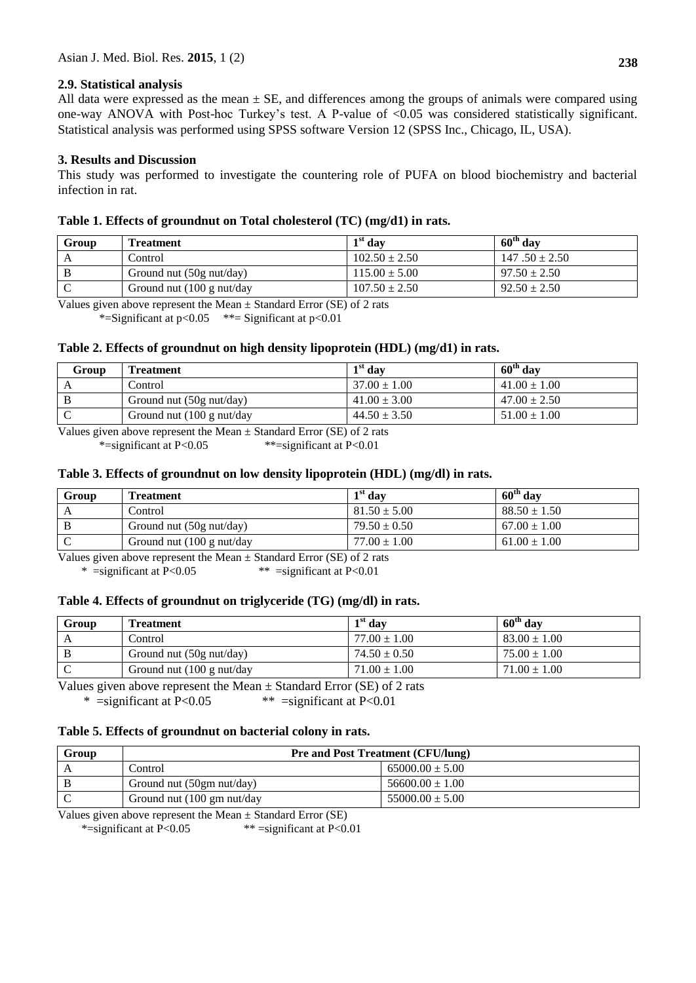# **2.9. Statistical analysis**

All data were expressed as the mean  $\pm$  SE, and differences among the groups of animals were compared using one-way ANOVA with Post-hoc Turkey's test. A P-value of <0.05 was considered statistically significant. Statistical analysis was performed using SPSS software Version 12 (SPSS Inc., Chicago, IL, USA).

### **3. Results and Discussion**

This study was performed to investigate the countering role of PUFA on blood biochemistry and bacterial infection in rat.

# **Table 1. Effects of groundnut on Total cholesterol (TC) (mg/d1) in rats.**

| Group | <b>Treatment</b>                             | $1st$ day         | $60th$ day        |
|-------|----------------------------------------------|-------------------|-------------------|
|       | Control                                      | $102.50 \pm 2.50$ | $147.50 \pm 2.50$ |
|       | Ground nut $(50g \text{ nut/day})$           | $115.00 \pm 5.00$ | $97.50 \pm 2.50$  |
|       | Ground nut $(100 \text{ g} \text{ nut/day})$ | $107.50 \pm 2.50$ | $92.50 \pm 2.50$  |

Values given above represent the Mean  $\pm$  Standard Error (SE) of 2 rats

\*=Significant at  $p<0.05$  \*\*= Significant at  $p<0.01$ 

# **Table 2. Effects of groundnut on high density lipoprotein (HDL) (mg/d1) in rats.**

| Group | Treatment                          | $1st$ day        | $60th$ day       |
|-------|------------------------------------|------------------|------------------|
|       | Control                            | $37.00 \pm 1.00$ | $41.00 \pm 1.00$ |
|       | Ground nut $(50g \text{ nut/day})$ | $41.00 \pm 3.00$ | $47.00 \pm 2.50$ |
|       | Ground nut (100 g nut/day          | $44.50 \pm 3.50$ | $51.00 \pm 1.00$ |

Values given above represent the Mean  $\pm$  Standard Error (SE) of 2 rats

\*=significant at P<0.05 \*\*=significant at P<0.01

# **Table 3. Effects of groundnut on low density lipoprotein (HDL) (mg/dl) in rats.**

| Group    | <b>Treatment</b>                             | $\mathbf{a}^{\rm st}$ day | $60^{\rm th}$<br>dav |
|----------|----------------------------------------------|---------------------------|----------------------|
| $\Gamma$ | Control                                      | $81.50 \pm 5.00$          | $88.50 \pm 1.50$     |
|          | Ground nut $(50g \text{ nut/day})$           | $79.50 \pm 0.50$          | $67.00 \pm 1.00$     |
|          | Ground nut $(100 \text{ g} \text{ nut/day})$ | $77.00 \pm 1.00$          | $61.00 \pm 1.00$     |

Values given above represent the Mean  $\pm$  Standard Error (SE) of 2 rats

\* =significant at P<0.05\*\* =significant at P<0.01

### **Table 4. Effects of groundnut on triglyceride (TG) (mg/dl) in rats.**

| Group | <b>Treatment</b>                             | $1st$ day        | $60^{\text{th}}$ day |
|-------|----------------------------------------------|------------------|----------------------|
|       | Control                                      | $77.00 \pm 1.00$ | $83.00 \pm 1.00$     |
|       | Ground nut $(50g \text{ nut/day})$           | $74.50 \pm 0.50$ | $75.00 \pm 1.00$     |
|       | Ground nut $(100 \text{ g} \text{ nut/day})$ | $71.00 \pm 1.00$ | $71.00 \pm 1.00$     |

Values given above represent the Mean  $\pm$  Standard Error (SE) of 2 rats

\* =significant at P<0.05\*\* =significant at P<0.01

### **Table 5. Effects of groundnut on bacterial colony in rats.**

| Group | <b>Pre and Post Treatment (CFU/lung)</b>      |                     |
|-------|-----------------------------------------------|---------------------|
|       | Control                                       | $65000.00 \pm 5.00$ |
|       | Ground nut (50gm nut/day)                     | $56600.00 \pm 1.00$ |
|       | Ground nut $(100 \text{ gm} \text{ nut/day})$ | $55000.00 + 5.00$   |

Values given above represent the Mean  $\pm$  Standard Error (SE)

\*=significant at P<0.05 \*\* =significant at P<0.01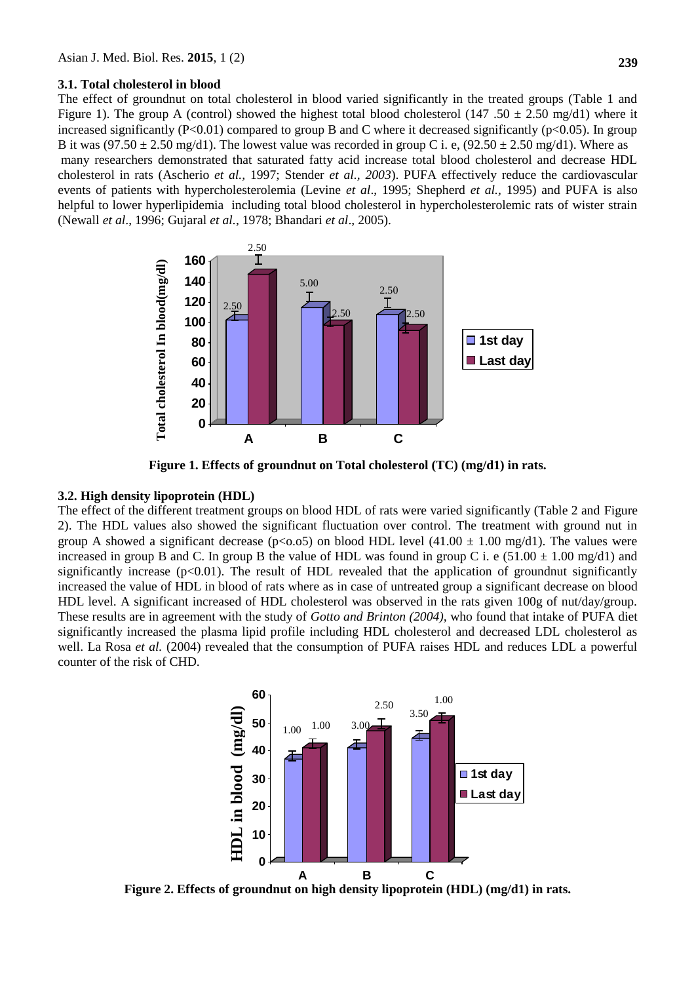#### **3.1. Total cholesterol in blood**

The effect of groundnut on total cholesterol in blood varied significantly in the treated groups (Table 1 and Figure 1). The group A (control) showed the highest total blood cholesterol (147 .50  $\pm$  2.50 mg/d1) where it increased significantly  $(P<0.01)$  compared to group B and C where it decreased significantly  $(p<0.05)$ . In group B it was (97.50  $\pm$  2.50 mg/d1). The lowest value was recorded in group C i. e, (92.50  $\pm$  2.50 mg/d1). Where as many researchers demonstrated that saturated fatty acid increase total blood cholesterol and decrease HDL cholesterol in rats (Ascherio *et al.,* 1997; Stender *et al., 2003*). PUFA effectively reduce the cardiovascular events of patients with hypercholesterolemia (Levine *et al*., 1995; Shepherd *et al.,* 1995) and PUFA is also helpful to lower hyperlipidemia including total blood cholesterol in hypercholesterolemic rats of wister strain (Newall *et al*., 1996; Gujaral *et al.*, 1978; Bhandari *et al*., 2005).



**Figure 1. Effects of groundnut on Total cholesterol (TC) (mg/d1) in rats.**

#### **3.2. High density lipoprotein (HDL)**

The effect of the different treatment groups on blood HDL of rats were varied significantly (Table 2 and Figure 2). The HDL values also showed the significant fluctuation over control. The treatment with ground nut in group A showed a significant decrease ( $p<0.05$ ) on blood HDL level (41.00  $\pm$  1.00 mg/d1). The values were increased in group B and C. In group B the value of HDL was found in group C i. e (51.00  $\pm$  1.00 mg/d1) and significantly increase  $(p<0.01)$ . The result of HDL revealed that the application of groundnut significantly increased the value of HDL in blood of rats where as in case of untreated group a significant decrease on blood HDL level. A significant increased of HDL cholesterol was observed in the rats given 100g of nut/day/group. These results are in agreement with the study of *Gotto and Brinton (2004),* who found that intake of PUFA diet significantly increased the plasma lipid profile including HDL cholesterol and decreased LDL cholesterol as well. La Rosa *et al.* (2004) revealed that the consumption of PUFA raises HDL and reduces LDL a powerful counter of the risk of CHD.

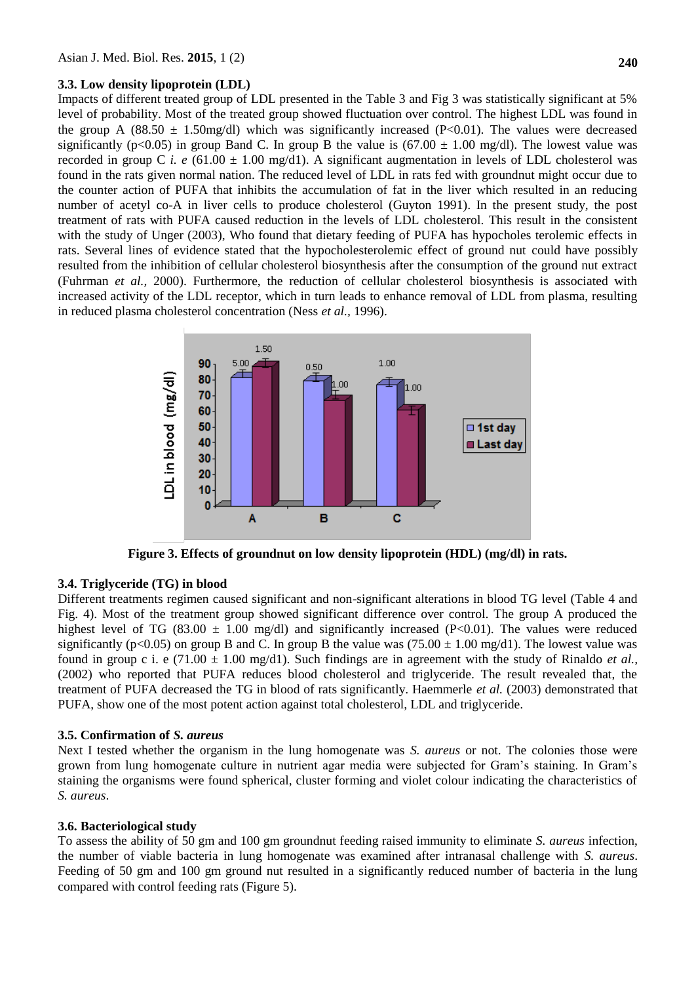#### **3.3. Low density lipoprotein (LDL)**

Impacts of different treated group of LDL presented in the Table 3 and Fig 3 was statistically significant at 5% level of probability. Most of the treated group showed fluctuation over control. The highest LDL was found in the group A (88.50  $\pm$  1.50mg/dl) which was significantly increased (P<0.01). The values were decreased significantly (p<0.05) in group B and C. In group B the value is (67.00  $\pm$  1.00 mg/dl). The lowest value was recorded in group C *i. e* (61.00  $\pm$  1.00 mg/d1). A significant augmentation in levels of LDL cholesterol was found in the rats given normal nation. The reduced level of LDL in rats fed with groundnut might occur due to the counter action of PUFA that inhibits the accumulation of fat in the liver which resulted in an reducing number of acetyl co-A in liver cells to produce cholesterol (Guyton 1991). In the present study, the post treatment of rats with PUFA caused reduction in the levels of LDL cholesterol. This result in the consistent with the study of Unger (2003), Who found that dietary feeding of PUFA has hypocholes terolemic effects in rats. Several lines of evidence stated that the hypocholesterolemic effect of ground nut could have possibly resulted from the inhibition of cellular cholesterol biosynthesis after the consumption of the ground nut extract (Fuhrman *et al.,* 2000). Furthermore, the reduction of cellular cholesterol biosynthesis is associated with increased activity of the LDL receptor, which in turn leads to enhance removal of LDL from plasma, resulting in reduced plasma cholesterol concentration (Ness *et al.,* 1996).



**Figure 3. Effects of groundnut on low density lipoprotein (HDL) (mg/dl) in rats.**

#### **3.4. Triglyceride (TG) in blood**

Different treatments regimen caused significant and non-significant alterations in blood TG level (Table 4 and Fig. 4). Most of the treatment group showed significant difference over control. The group A produced the highest level of TG (83.00  $\pm$  1.00 mg/dl) and significantly increased (P<0.01). The values were reduced significantly (p<0.05) on group B and C. In group B the value was (75.00  $\pm$  1.00 mg/d1). The lowest value was found in group c i. e (71.00 ± 1.00 mg/d1). Such findings are in agreement with the study of Rinaldo *et al.,* (2002) who reported that PUFA reduces blood cholesterol and triglyceride. The result revealed that, the treatment of PUFA decreased the TG in blood of rats significantly. Haemmerle *et al.* (2003) demonstrated that PUFA, show one of the most potent action against total cholesterol, LDL and triglyceride.

#### **3.5. Confirmation of** *S. aureus*

Next I tested whether the organism in the lung homogenate was *S. aureus* or not. The colonies those were grown from lung homogenate culture in nutrient agar media were subjected for Gram's staining. In Gram's staining the organisms were found spherical, cluster forming and violet colour indicating the characteristics of *S. aureus*.

#### **3.6. Bacteriological study**

To assess the ability of 50 gm and 100 gm groundnut feeding raised immunity to eliminate *S. aureus* infection, the number of viable bacteria in lung homogenate was examined after intranasal challenge with *S. aureus*. Feeding of 50 gm and 100 gm ground nut resulted in a significantly reduced number of bacteria in the lung compared with control feeding rats (Figure 5).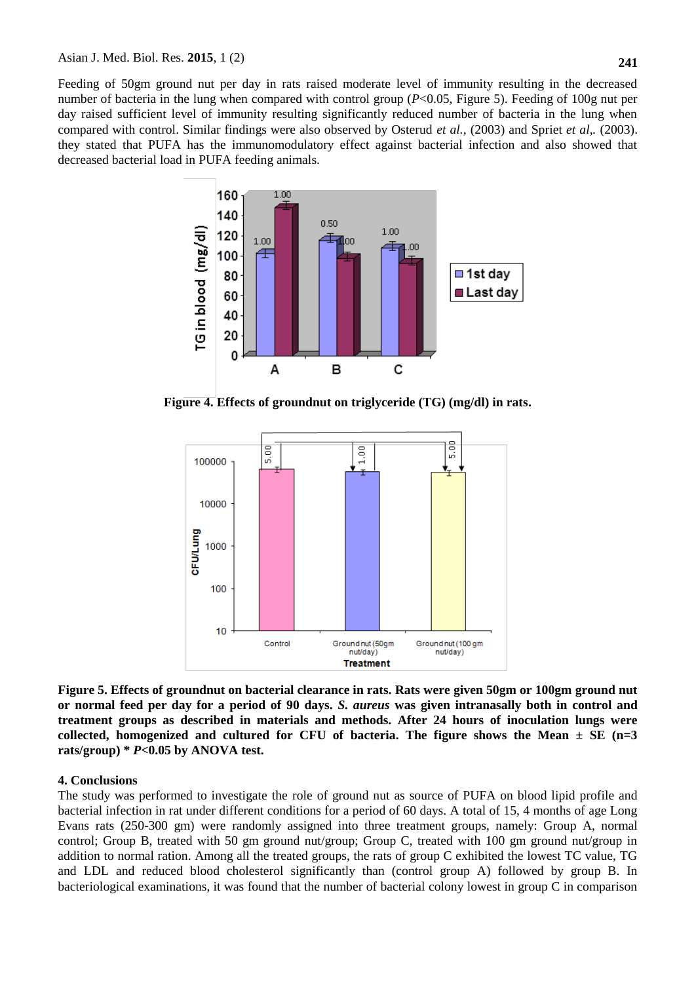Feeding of 50gm ground nut per day in rats raised moderate level of immunity resulting in the decreased number of bacteria in the lung when compared with control group (*P*<0.05, Figure 5). Feeding of 100g nut per day raised sufficient level of immunity resulting significantly reduced number of bacteria in the lung when compared with control. Similar findings were also observed by Osterud *et al.,* (2003) and Spriet *et al,.* (2003). they stated that PUFA has the immunomodulatory effect against bacterial infection and also showed that decreased bacterial load in PUFA feeding animals.



**Figure 4. Effects of groundnut on triglyceride (TG) (mg/dl) in rats.**



**Figure 5. Effects of groundnut on bacterial clearance in rats. Rats were given 50gm or 100gm ground nut or normal feed per day for a period of 90 days.** *S. aureus* **was given intranasally both in control and treatment groups as described in materials and methods. After 24 hours of inoculation lungs were collected, homogenized and cultured for CFU of bacteria. The figure shows the Mean ± SE (n=3 rats/group) \*** *P***<0.05 by ANOVA test.** 

### **4. Conclusions**

The study was performed to investigate the role of ground nut as source of PUFA on blood lipid profile and bacterial infection in rat under different conditions for a period of 60 days. A total of 15, 4 months of age Long Evans rats (250-300 gm) were randomly assigned into three treatment groups, namely: Group A, normal control; Group B, treated with 50 gm ground nut/group; Group C, treated with 100 gm ground nut/group in addition to normal ration. Among all the treated groups, the rats of group C exhibited the lowest TC value, TG and LDL and reduced blood cholesterol significantly than (control group A) followed by group B. In bacteriological examinations, it was found that the number of bacterial colony lowest in group C in comparison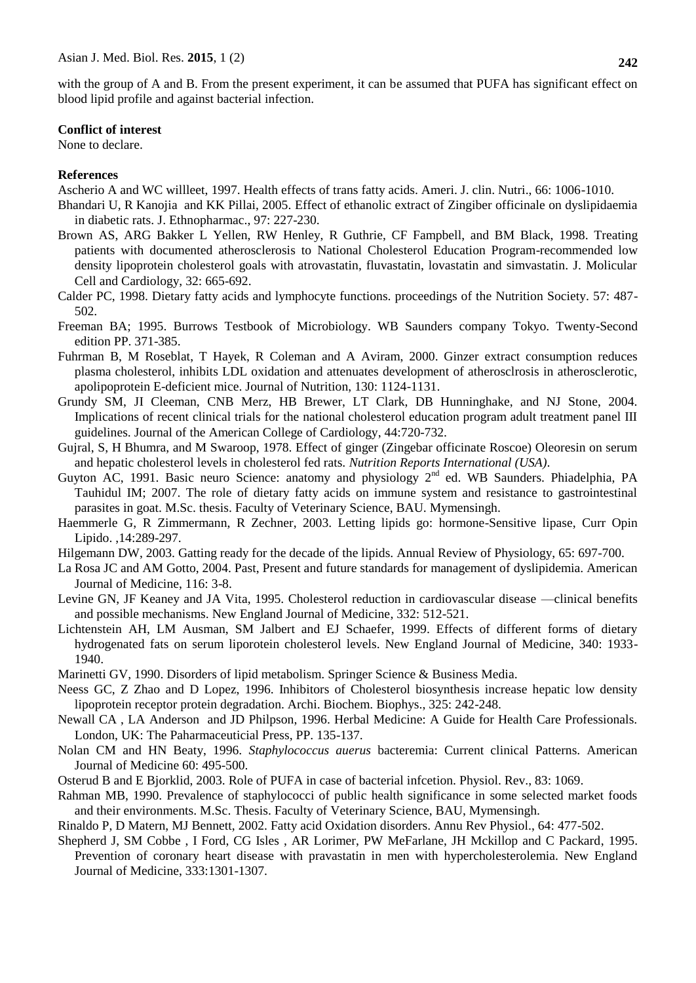with the group of A and B. From the present experiment, it can be assumed that PUFA has significant effect on blood lipid profile and against bacterial infection.

#### **Conflict of interest**

None to declare.

#### **References**

Ascherio A and WC willleet, 1997. Health effects of trans fatty acids. Ameri. J. clin. Nutri., 66: 1006-1010.

- Bhandari U, R Kanojia and KK Pillai, 2005. Effect of ethanolic extract of Zingiber officinale on dyslipidaemia in diabetic rats. J. Ethnopharmac., 97: 227-230.
- Brown AS, ARG Bakker L Yellen, RW Henley, R Guthrie, CF Fampbell, and BM Black, 1998. Treating patients with documented atherosclerosis to National Cholesterol Education Program-recommended low density lipoprotein cholesterol goals with atrovastatin, fluvastatin, lovastatin and simvastatin. J. Molicular Cell and Cardiology, 32: 665-692.
- Calder PC, 1998. Dietary fatty acids and lymphocyte functions. proceedings of the Nutrition Society. 57: 487- 502.
- Freeman BA; 1995. Burrows Testbook of Microbiology. WB Saunders company Tokyo. Twenty-Second edition PP. 371-385.
- Fuhrman B, M Roseblat, T Hayek, R Coleman and A Aviram, 2000. Ginzer extract consumption reduces plasma cholesterol, inhibits LDL oxidation and attenuates development of atherosclrosis in atherosclerotic, apolipoprotein E-deficient mice. Journal of Nutrition, 130: 1124-1131.
- Grundy SM, JI Cleeman, CNB Merz, HB Brewer, LT Clark, DB Hunninghake, and NJ Stone, 2004. Implications of recent clinical trials for the national cholesterol education program adult treatment panel III guidelines. Journal of the American College of Cardiology, 44:720-732.
- Gujral, S, H Bhumra, and M Swaroop, 1978. Effect of ginger (Zingebar officinate Roscoe) Oleoresin on serum and hepatic cholesterol levels in cholesterol fed rats. *Nutrition Reports International (USA)*.
- Guyton AC, 1991. Basic neuro Science: anatomy and physiology  $2<sup>nd</sup>$  ed. WB Saunders. Phiadelphia, PA Tauhidul IM; 2007. The role of dietary fatty acids on immune system and resistance to gastrointestinal parasites in goat. M.Sc. thesis. Faculty of Veterinary Science, BAU. Mymensingh.
- Haemmerle G, R Zimmermann, R Zechner, 2003. Letting lipids go: hormone-Sensitive lipase, Curr Opin Lipido. ,14:289-297.
- Hilgemann DW, 2003. Gatting ready for the decade of the lipids. Annual Review of Physiology, 65: 697-700.
- La Rosa JC and AM Gotto, 2004. Past, Present and future standards for management of dyslipidemia. American Journal of Medicine, 116: 3-8.
- Levine GN, JF Keaney and JA Vita, 1995. Cholesterol reduction in cardiovascular disease —clinical benefits and possible mechanisms. New England Journal of Medicine, 332: 512-521.
- Lichtenstein AH, LM Ausman, SM Jalbert and EJ Schaefer, 1999. Effects of different forms of dietary hydrogenated fats on serum liporotein cholesterol levels. New England Journal of Medicine, 340: 1933- 1940.
- Marinetti GV, 1990. Disorders of lipid metabolism. Springer Science & Business Media.
- Neess GC, Z Zhao and D Lopez, 1996. Inhibitors of Cholesterol biosynthesis increase hepatic low density lipoprotein receptor protein degradation. Archi. Biochem. Biophys., 325: 242-248.
- Newall CA , LA Anderson and JD Philpson, 1996. Herbal Medicine: A Guide for Health Care Professionals. London, UK: The Paharmaceuticial Press, PP. 135-137.
- Nolan CM and HN Beaty, 1996. *Staphylococcus auerus* bacteremia: Current clinical Patterns. American Journal of Medicine 60: 495-500.
- Osterud B and E Bjorklid, 2003. Role of PUFA in case of bacterial infcetion. Physiol. Rev., 83: 1069.
- Rahman MB, 1990. Prevalence of staphylococci of public health significance in some selected market foods and their environments. M.Sc. Thesis. Faculty of Veterinary Science, BAU, Mymensingh.
- Rinaldo P, D Matern, MJ Bennett, 2002. Fatty acid Oxidation disorders. Annu Rev Physiol., 64: 477-502.
- Shepherd J, SM Cobbe , I Ford, CG Isles , AR Lorimer, PW MeFarlane, JH Mckillop and C Packard, 1995. Prevention of coronary heart disease with pravastatin in men with hypercholesterolemia. New England Journal of Medicine, 333:1301-1307.